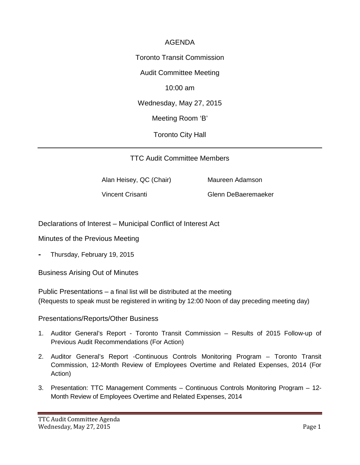## AGENDA

Toronto Transit Commission

Audit Committee Meeting

10:00 am

Wednesday, May 27, 2015

Meeting Room 'B'

Toronto City Hall

TTC Audit Committee Members

Alan Heisey, QC (Chair) Maureen Adamson

Vincent Crisanti Glenn DeBaeremaeker

Declarations of Interest – Municipal Conflict of Interest Act

Minutes of the Previous Meeting

- Thursday, February 19, 2015

Business Arising Out of Minutes

Public Presentations – a final list will be distributed at the meeting (Requests to speak must be registered in writing by 12:00 Noon of day preceding meeting day)

Presentations/Reports/Other Business

- 1. Auditor General's Report Toronto Transit Commission Results of 2015 Follow-up of Previous Audit Recommendations (For Action)
- 2. Auditor General's Report -Continuous Controls Monitoring Program Toronto Transit Commission, 12-Month Review of Employees Overtime and Related Expenses, 2014 (For Action)
- 3. Presentation: TTC Management Comments Continuous Controls Monitoring Program 12- Month Review of Employees Overtime and Related Expenses, 2014